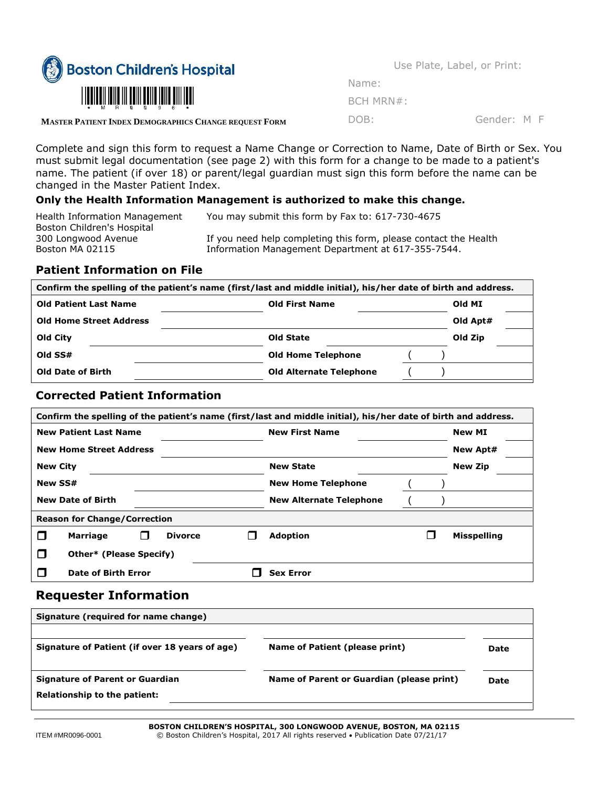

Use Plate, Label, or Print:

| Name: |             |  |
|-------|-------------|--|
|       | $BCH$ MRN#: |  |

DOB: Gender: M F

**MASTER PATIENT INDEX DEMOGRAPHICS CHANGE REQUEST FORM**

Complete and sign this form to request a Name Change or Correction to Name, Date of Birth or Sex. You must submit legal documentation (see page 2) with this form for a change to be made to a patient's name. The patient (if over 18) or parent/legal guardian must sign this form before the name can be changed in the Master Patient Index.

## **Only the Health Information Management is authorized to make this change.**

| Health Information Management | You may submit this form by Fax to: 617-730-4675                 |
|-------------------------------|------------------------------------------------------------------|
| Boston Children's Hospital    |                                                                  |
| 300 Longwood Avenue           | If you need help completing this form, please contact the Health |
| Boston MA 02115               | Information Management Department at 617-355-7544.               |

## **Patient Information on File**

| Confirm the spelling of the patient's name (first/last and middle initial), his/her date of birth and address. |                                |          |  |
|----------------------------------------------------------------------------------------------------------------|--------------------------------|----------|--|
| <b>Old Patient Last Name</b>                                                                                   | <b>Old First Name</b>          |          |  |
| <b>Old Home Street Address</b>                                                                                 |                                | Old Apt# |  |
| Old City                                                                                                       | Old State                      | Old Zip  |  |
| Old SS#                                                                                                        | <b>Old Home Telephone</b>      |          |  |
| <b>Old Date of Birth</b>                                                                                       | <b>Old Alternate Telephone</b> |          |  |

#### **Corrected Patient Information**

| Confirm the spelling of the patient's name (first/last and middle initial), his/her date of birth and address. |                                |                    |  |
|----------------------------------------------------------------------------------------------------------------|--------------------------------|--------------------|--|
| <b>New Patient Last Name</b>                                                                                   | <b>New First Name</b>          | <b>New MI</b>      |  |
| <b>New Home Street Address</b>                                                                                 |                                | <b>New Apt#</b>    |  |
| <b>New City</b>                                                                                                | <b>New State</b>               | <b>New Zip</b>     |  |
| <b>New SS#</b>                                                                                                 | <b>New Home Telephone</b>      |                    |  |
| <b>New Date of Birth</b>                                                                                       | <b>New Alternate Telephone</b> |                    |  |
| <b>Reason for Change/Correction</b>                                                                            |                                |                    |  |
| <b>Marriage</b><br><b>Divorce</b><br>$\Box$<br>H                                                               | <b>Adoption</b>                | <b>Misspelling</b> |  |
| П<br><b>Other*</b> (Please Specify)                                                                            |                                |                    |  |
| П<br>Date of Birth Error                                                                                       | <b>Sex Error</b>               |                    |  |

## **Requester Information**

| Signature (required for name change)                                   |                                           |      |
|------------------------------------------------------------------------|-------------------------------------------|------|
| Signature of Patient (if over 18 years of age)                         | Name of Patient (please print)            | Date |
| <b>Signature of Parent or Guardian</b><br>Relationship to the patient: | Name of Parent or Guardian (please print) | Date |